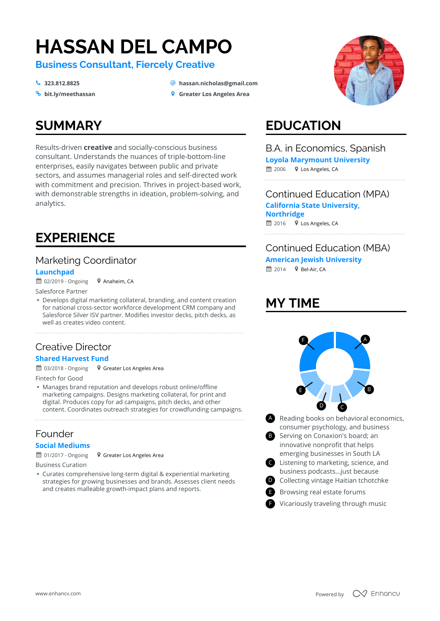# **HASSAN DEL CAMPO**

**Business Consultant, Fiercely Creative**

- $\frac{1}{2}$  323.812.8825
- <sup>%</sup> bit.ly/meethassan
- **[323.812.8825](tel:323.812.8825) [hassan.nicholas@gmail.com](mailto:hassan.nicholas@gmail.com)**
- **9** Greater Los Angeles Area

# **SUMMARY**

Results-driven **creative** and socially-conscious business consultant. Understands the nuances of triple-bottom-line enterprises, easily navigates between public and private sectors, and assumes managerial roles and self-directed work with commitment and precision. Thrives in project-based work, with demonstrable strengths in ideation, problem-solving, and analytics.

# **EXPERIENCE**

#### Marketing Coordinator

#### **Launchpad**

 $# 02/2019 -$  Ongoing Anaheim, CA

Salesforce Partner

- Develops digital marketing collateral, branding, and content creation for national cross-sector workforce development CRM company and Salesforce Silver ISV partner. Modifies investor decks, pitch decks, as well as creates video content.

#### Creative Director **Shared Harvest Fund**

~ 03/2018 - Ongoing + Greater Los Angeles Area

Fintech for Good

- Manages brand reputation and develops robust online/offline marketing campaigns. Designs marketing collateral, for print and digital. Produces copy for ad campaigns, pitch decks, and other content. Coordinates outreach strategies for crowdfunding campaigns.

#### Founder

#### **Social Mediums**

 $\hat{=}$  01/2017 - Ongoing

Business Curation

- Curates comprehensive long-term digital & experiential marketing strategies for growing businesses and brands. Assesses client needs and creates malleable growth-impact plans and reports.

Greater Los Angeles Area



# **EDUCATION**

#### B.A. in Economics, Spanish

**Loyola Marymount University**

**■ 2006** • Los Angeles, CA

 $\hat{=}$  2016  $\bullet$  Los Angeles, CA Continued Education (MPA) **California State University, Northridge**

#### Continued Education (MBA)

**American Jewish University**

 $\hat{=}$  2014  $\bullet$  Bel-Air, CA

# **MY TIME**